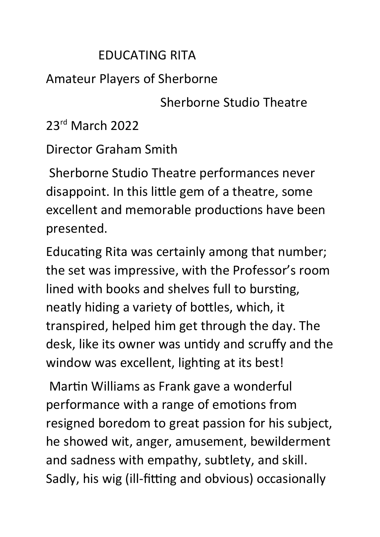## EDUCATING RITA

## Amateur Players of Sherborne

Sherborne Studio Theatre

23rd March 2022

Director Graham Smith

 Sherborne Studio Theatre performances never disappoint. In this little gem of a theatre, some excellent and memorable productions have been presented.

Educating Rita was certainly among that number; the set was impressive, with the Professor's room lined with books and shelves full to bursting, neatly hiding a variety of bottles, which, it transpired, helped him get through the day. The desk, like its owner was untidy and scruffy and the window was excellent, lighting at its best!

Martin Williams as Frank gave a wonderful performance with a range of emotions from resigned boredom to great passion for his subject, he showed wit, anger, amusement, bewilderment and sadness with empathy, subtlety, and skill. Sadly, his wig (ill-fitting and obvious) occasionally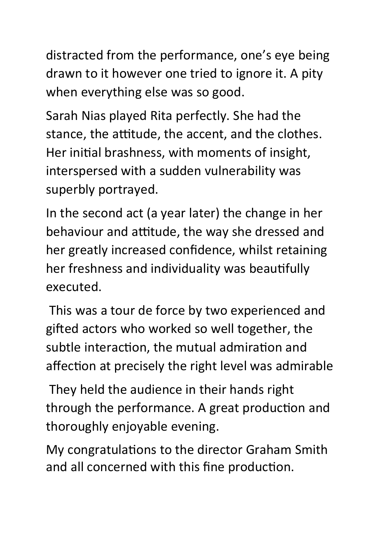distracted from the performance, one's eye being drawn to it however one tried to ignore it. A pity when everything else was so good.

Sarah Nias played Rita perfectly. She had the stance, the attitude, the accent, and the clothes. Her initial brashness, with moments of insight, interspersed with a sudden vulnerability was superbly portrayed.

In the second act (a year later) the change in her behaviour and attitude, the way she dressed and her greatly increased confidence, whilst retaining her freshness and individuality was beautifully executed.

 This was a tour de force by two experienced and gifted actors who worked so well together, the subtle interaction, the mutual admiration and affection at precisely the right level was admirable

 They held the audience in their hands right through the performance. A great production and thoroughly enjoyable evening.

My congratulations to the director Graham Smith and all concerned with this fine production.